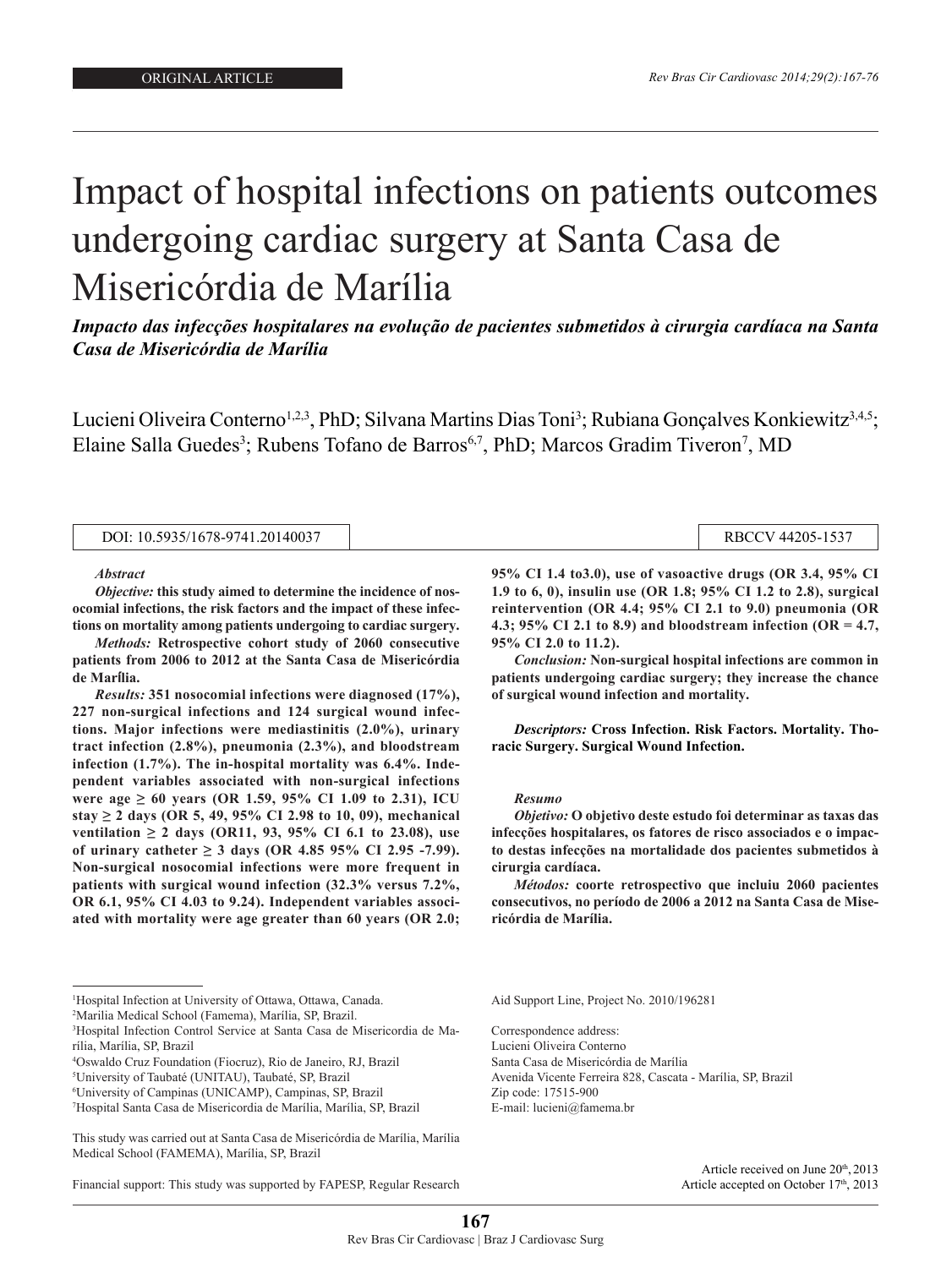undergoing cardiac surgery at Santa Casa de Misericórdia de Misericórdia de Marília de Marília de Marília de M<br>Desenvolver de Marília de Marília de Marília de Marília de Marília de Marília de Marília de Marília de Marília

# Impact of hospital infections on patients outcomes undergoing cardiac surgery at Santa Casa de Misericórdia de Marília

*Impacto das infecções hospitalares na evolução de pacientes submetidos à cirurgia cardíaca na Santa Casa de Misericórdia de Marília*

Lucieni Oliveira Conterno<sup>1,2,3</sup>, PhD; Silvana Martins Dias Toni<sup>3</sup>; Rubiana Gonçalves Konkiewitz<sup>3,4,5</sup>; Elaine Salla Guedes<sup>3</sup>; Rubens Tofano de Barros<sup>6,7</sup>, PhD; Marcos Gradim Tiveron<sup>7</sup>, MD

| : 10.5935/1678-9741.20140037<br>DOI: | RBCCV 44205-1537 |
|--------------------------------------|------------------|
|                                      |                  |

*Abstract*

*Objective:* **this study aimed to determine the incidence of nosocomial infections, the risk factors and the impact of these infections on mortality among patients undergoing to cardiac surgery.** 

*Methods:* **Retrospective cohort study of 2060 consecutive patients from 2006 to 2012 at the Santa Casa de Misericórdia de Marília.** 

*Results:* **351 nosocomial infections were diagnosed (17%), 227 non-surgical infections and 124 surgical wound infections. Major infections were mediastinitis (2.0%), urinary tract infection (2.8%), pneumonia (2.3%), and bloodstream infection (1.7%). The in-hospital mortality was 6.4%. Independent variables associated with non-surgical infections were age ≥ 60 years (OR 1.59, 95% CI 1.09 to 2.31), ICU stay ≥ 2 days (OR 5, 49, 95% CI 2.98 to 10, 09), mechanical ventilation ≥ 2 days (OR11, 93, 95% CI 6.1 to 23.08), use**  of urinary catheter  $≥ 3$  days (OR 4.85 95% CI 2.95 -7.99). **Non-surgical nosocomial infections were more frequent in patients with surgical wound infection (32.3% versus 7.2%, OR 6.1, 95% CI 4.03 to 9.24). Independent variables associated with mortality were age greater than 60 years (OR 2.0;** 

**95% CI 1.4 to3.0), use of vasoactive drugs (OR 3.4, 95% CI 1.9 to 6, 0), insulin use (OR 1.8; 95% CI 1.2 to 2.8), surgical reintervention (OR 4.4; 95% CI 2.1 to 9.0) pneumonia (OR 4.3; 95% CI 2.1 to 8.9) and bloodstream infection (OR = 4.7, 95% CI 2.0 to 11.2).** 

*Conclusion:* **Non-surgical hospital infections are common in patients undergoing cardiac surgery; they increase the chance of surgical wound infection and mortality.**

*Descriptors:* **Cross Infection. Risk Factors. Mortality. Thoracic Surgery. Surgical Wound Infection.**

#### *Resumo*

*Objetivo:* **O objetivo deste estudo foi determinar as taxas das infecções hospitalares, os fatores de risco associados e o impacto destas infecções na mortalidade dos pacientes submetidos à cirurgia cardíaca.**

*Métodos:* **coorte retrospectivo que incluiu 2060 pacientes consecutivos, no período de 2006 a 2012 na Santa Casa de Misericórdia de Marília.** 

- 4 Oswaldo Cruz Foundation (Fiocruz), Rio de Janeiro, RJ, Brazil
- 5 University of Taubaté (UNITAU), Taubaté, SP, Brazil

Financial support: This study was supported by FAPESP, Regular Research

Aid Support Line, Project No. 2010/196281

Correspondence address: Lucieni Oliveira Conterno Santa Casa de Misericórdia de Marília Avenida Vicente Ferreira 828, Cascata - Marília, SP, Brazil Zip code: 17515-900 E-mail: lucieni@famema.br

> Article received on June 20<sup>th</sup>, 2013 Article accepted on October 17th, 2013

<sup>1</sup> Hospital Infection at University of Ottawa, Ottawa, Canada.

<sup>2</sup> Marilia Medical School (Famema), Marília, SP, Brazil.

<sup>3</sup> Hospital Infection Control Service at Santa Casa de Misericordia de Marília, Marília, SP, Brazil

<sup>6</sup> University of Campinas (UNICAMP), Campinas, SP, Brazil

<sup>7</sup> Hospital Santa Casa de Misericordia de Marília, Marília, SP, Brazil

This study was carried out at Santa Casa de Misericórdia de Marília, Marília Medical School (FAMEMA), Marília, SP, Brazil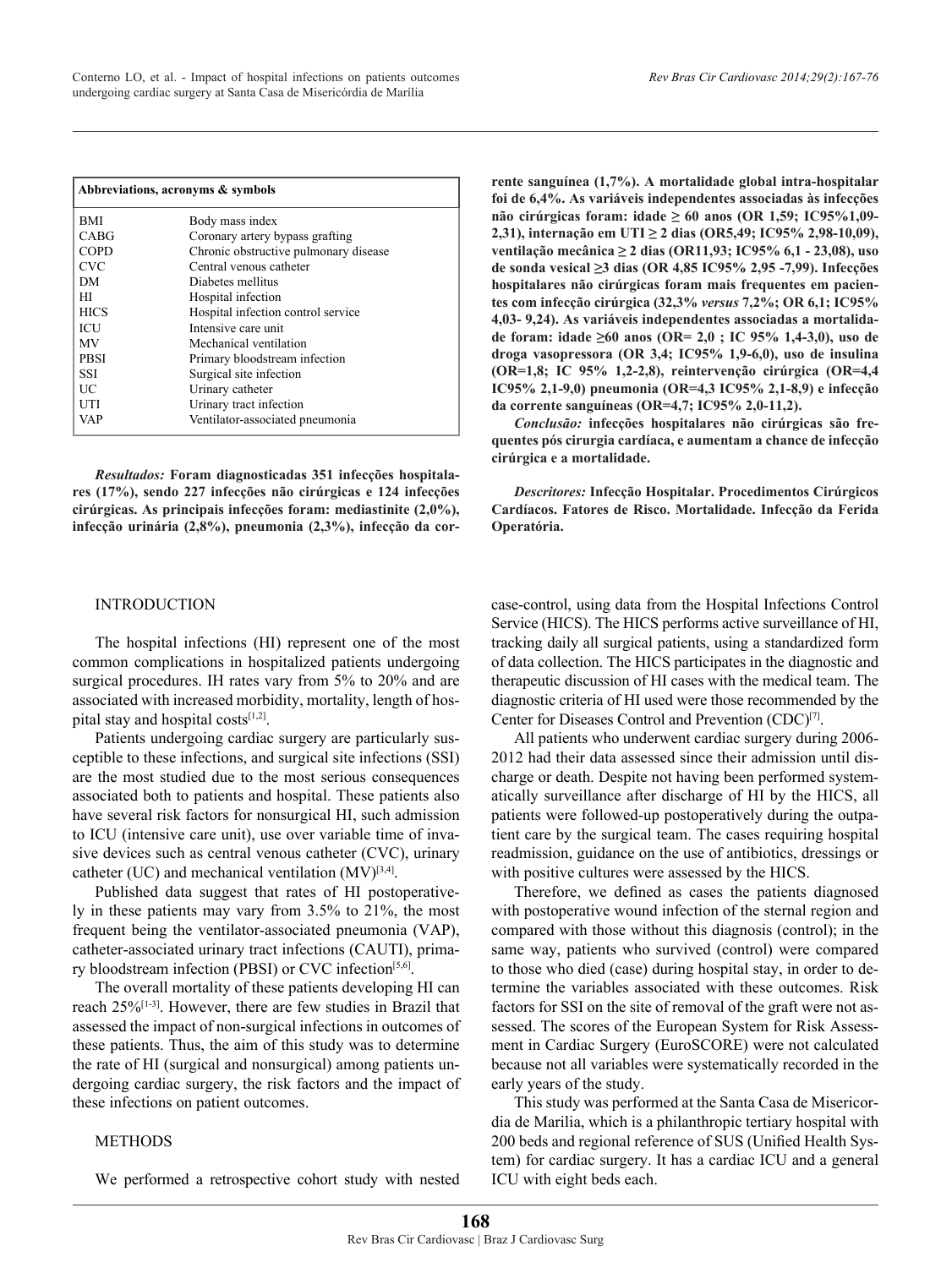|             | Abbreviations, acronyms & symbols     |
|-------------|---------------------------------------|
| BMI         | Body mass index                       |
| <b>CABG</b> | Coronary artery bypass grafting       |
| <b>COPD</b> | Chronic obstructive pulmonary disease |
| <b>CVC</b>  | Central venous catheter               |
| DM          | Diabetes mellitus                     |
| HІ          | Hospital infection                    |
| <b>HICS</b> | Hospital infection control service    |
| ICU         | Intensive care unit                   |
| MV          | Mechanical ventilation                |
| <b>PBSI</b> | Primary bloodstream infection         |
| SSI         | Surgical site infection               |
| UC          | Urinary catheter                      |
| UTI         | Urinary tract infection               |
| VAP         | Ventilator-associated pneumonia       |

*Resultados:* **Foram diagnosticadas 351 infecções hospitalares (17%), sendo 227 infecções não cirúrgicas e 124 infecções cirúrgicas. As principais infecções foram: mediastinite (2,0%), infecção urinária (2,8%), pneumonia (2,3%), infecção da cor-**

## INTRODUCTION

The hospital infections (HI) represent one of the most common complications in hospitalized patients undergoing surgical procedures. IH rates vary from 5% to 20% and are associated with increased morbidity, mortality, length of hospital stay and hospital costs $[1,2]$ .

Patients undergoing cardiac surgery are particularly susceptible to these infections, and surgical site infections (SSI) are the most studied due to the most serious consequences associated both to patients and hospital. These patients also have several risk factors for nonsurgical HI, such admission to ICU (intensive care unit), use over variable time of invasive devices such as central venous catheter (CVC), urinary catheter (UC) and mechanical ventilation  $(MV)^{[3,4]}$ .

Published data suggest that rates of HI postoperatively in these patients may vary from 3.5% to 21%, the most frequent being the ventilator-associated pneumonia (VAP), catheter-associated urinary tract infections (CAUTI), primary bloodstream infection (PBSI) or CVC infection<sup>[5,6]</sup>.

The overall mortality of these patients developing HI can reach 25%<sup>[1-3]</sup>. However, there are few studies in Brazil that assessed the impact of non-surgical infections in outcomes of these patients. Thus, the aim of this study was to determine the rate of HI (surgical and nonsurgical) among patients undergoing cardiac surgery, the risk factors and the impact of these infections on patient outcomes.

## METHODS

We performed a retrospective cohort study with nested

**rente sanguínea (1,7%). A mortalidade global intra-hospitalar foi de 6,4%. As variáveis independentes associadas às infecções não cirúrgicas foram: idade ≥ 60 anos (OR 1,59; IC95%1,09- 2,31), internação em UTI ≥ 2 dias (OR5,49; IC95% 2,98-10,09), ventilação mecânica ≥ 2 dias (OR11,93; IC95% 6,1 - 23,08), uso de sonda vesical ≥3 dias (OR 4,85 IC95% 2,95 -7,99). Infecções hospitalares não cirúrgicas foram mais frequentes em pacientes com infecção cirúrgica (32,3%** *versus* **7,2%; OR 6,1; IC95% 4,03- 9,24). As variáveis independentes associadas a mortalidade foram: idade ≥60 anos (OR= 2,0 ; IC 95% 1,4-3,0), uso de droga vasopressora (OR 3,4; IC95% 1,9-6,0), uso de insulina (OR=1,8; IC 95% 1,2-2,8), reintervenção cirúrgica (OR=4,4 IC95% 2,1-9,0) pneumonia (OR=4,3 IC95% 2,1-8,9) e infecção da corrente sanguíneas (OR=4,7; IC95% 2,0-11,2).**

*Conclusão:* **infecções hospitalares não cirúrgicas são frequentes pós cirurgia cardíaca, e aumentam a chance de infecção cirúrgica e a mortalidade.**

*Descritores:* **Infecção Hospitalar. Procedimentos Cirúrgicos Cardíacos. Fatores de Risco. Mortalidade. Infecção da Ferida Operatória.**

case-control, using data from the Hospital Infections Control Service (HICS). The HICS performs active surveillance of HI, tracking daily all surgical patients, using a standardized form of data collection. The HICS participates in the diagnostic and therapeutic discussion of HI cases with the medical team. The diagnostic criteria of HI used were those recommended by the Center for Diseases Control and Prevention (CDC)<sup>[7]</sup>.

All patients who underwent cardiac surgery during 2006- 2012 had their data assessed since their admission until discharge or death. Despite not having been performed systematically surveillance after discharge of HI by the HICS, all patients were followed-up postoperatively during the outpatient care by the surgical team. The cases requiring hospital readmission, guidance on the use of antibiotics, dressings or with positive cultures were assessed by the HICS.

Therefore, we defined as cases the patients diagnosed with postoperative wound infection of the sternal region and compared with those without this diagnosis (control); in the same way, patients who survived (control) were compared to those who died (case) during hospital stay, in order to determine the variables associated with these outcomes. Risk factors for SSI on the site of removal of the graft were not assessed. The scores of the European System for Risk Assessment in Cardiac Surgery (EuroSCORE) were not calculated because not all variables were systematically recorded in the early years of the study.

This study was performed at the Santa Casa de Misericordia de Marilia, which is a philanthropic tertiary hospital with 200 beds and regional reference of SUS (Unified Health System) for cardiac surgery. It has a cardiac ICU and a general ICU with eight beds each.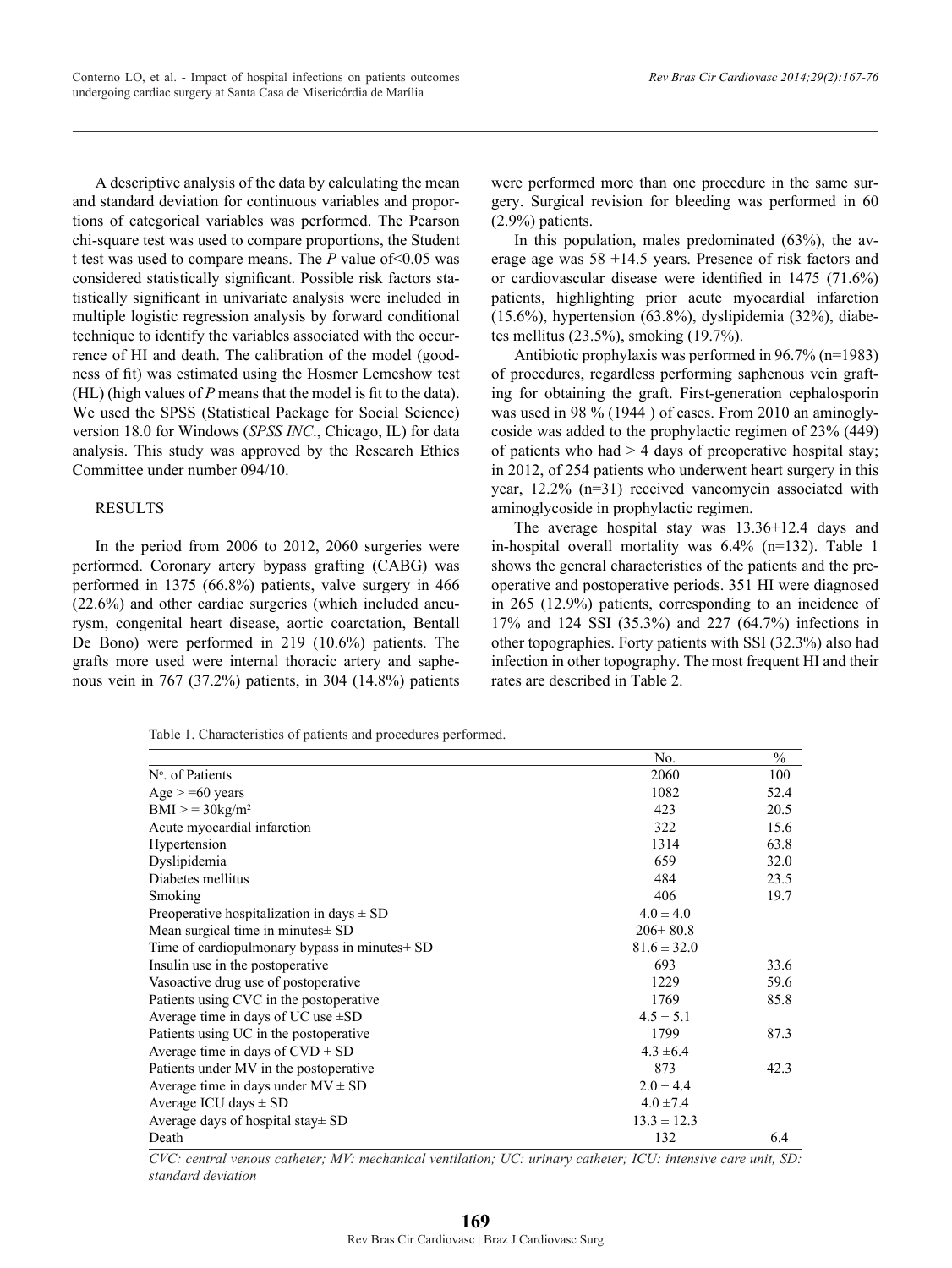A descriptive analysis of the data by calculating the mean and standard deviation for continuous variables and proportions of categorical variables was performed. The Pearson chi-square test was used to compare proportions, the Student t test was used to compare means. The *P* value of<0.05 was considered statistically significant. Possible risk factors statistically significant in univariate analysis were included in multiple logistic regression analysis by forward conditional technique to identify the variables associated with the occurrence of HI and death. The calibration of the model (goodness of fit) was estimated using the Hosmer Lemeshow test (HL) (high values of *P* means that the model is fit to the data). We used the SPSS (Statistical Package for Social Science) version 18.0 for Windows (*SPSS INC*., Chicago, IL) for data analysis. This study was approved by the Research Ethics Committee under number 094/10.

## RESULTS

In the period from 2006 to 2012, 2060 surgeries were performed. Coronary artery bypass grafting (CABG) was performed in 1375 (66.8%) patients, valve surgery in 466 (22.6%) and other cardiac surgeries (which included aneurysm, congenital heart disease, aortic coarctation, Bentall De Bono) were performed in 219 (10.6%) patients. The grafts more used were internal thoracic artery and saphenous vein in 767 (37.2%) patients, in 304 (14.8%) patients

were performed more than one procedure in the same surgery. Surgical revision for bleeding was performed in 60 (2.9%) patients.

In this population, males predominated (63%), the average age was 58 +14.5 years. Presence of risk factors and or cardiovascular disease were identified in 1475 (71.6%) patients, highlighting prior acute myocardial infarction (15.6%), hypertension (63.8%), dyslipidemia (32%), diabetes mellitus (23.5%), smoking (19.7%).

Antibiotic prophylaxis was performed in 96.7% (n=1983) of procedures, regardless performing saphenous vein grafting for obtaining the graft. First-generation cephalosporin was used in 98 % (1944 ) of cases. From 2010 an aminoglycoside was added to the prophylactic regimen of 23% (449) of patients who had  $>$  4 days of preoperative hospital stay; in 2012, of 254 patients who underwent heart surgery in this year, 12.2% (n=31) received vancomycin associated with aminoglycoside in prophylactic regimen.

The average hospital stay was 13.36+12.4 days and in-hospital overall mortality was 6.4% (n=132). Table 1 shows the general characteristics of the patients and the preoperative and postoperative periods. 351 HI were diagnosed in 265 (12.9%) patients, corresponding to an incidence of 17% and 124 SSI (35.3%) and 227 (64.7%) infections in other topographies. Forty patients with SSI (32.3%) also had infection in other topography. The most frequent HI and their rates are described in Table 2.

Table 1. Characteristics of patients and procedures performed.

|                                                | No.             | $\frac{0}{0}$ |
|------------------------------------------------|-----------------|---------------|
| N° of Patients                                 | 2060            | 100           |
| $Age \ge 0$ years                              | 1082            | 52.4          |
| $BMI > = 30kg/m2$                              | 423             | 20.5          |
| Acute myocardial infarction                    | 322             | 15.6          |
| Hypertension                                   | 1314            | 63.8          |
| Dyslipidemia                                   | 659             | 32.0          |
| Diabetes mellitus                              | 484             | 23.5          |
| Smoking                                        | 406             | 19.7          |
| Preoperative hospitalization in days $\pm$ SD  | $4.0 \pm 4.0$   |               |
| Mean surgical time in minutes $\pm$ SD         | $206+80.8$      |               |
| Time of cardiopulmonary bypass in minutes + SD | $81.6 \pm 32.0$ |               |
| Insulin use in the postoperative               | 693             | 33.6          |
| Vasoactive drug use of postoperative           | 1229            | 59.6          |
| Patients using CVC in the postoperative        | 1769            | 85.8          |
| Average time in days of UC use $\pm SD$        | $4.5 + 5.1$     |               |
| Patients using UC in the postoperative         | 1799            | 87.3          |
| Average time in days of $CVD + SD$             | $4.3 \pm 6.4$   |               |
| Patients under MV in the postoperative         | 873             | 42.3          |
| Average time in days under $MV \pm SD$         | $2.0 + 4.4$     |               |
| Average ICU days $\pm$ SD                      | $4.0 \pm 7.4$   |               |
| Average days of hospital stay $\pm$ SD         | $13.3 \pm 12.3$ |               |
| Death                                          | 132             | 6.4           |

*CVC: central venous catheter; MV: mechanical ventilation; UC: urinary catheter; ICU: intensive care unit, SD: standard deviation*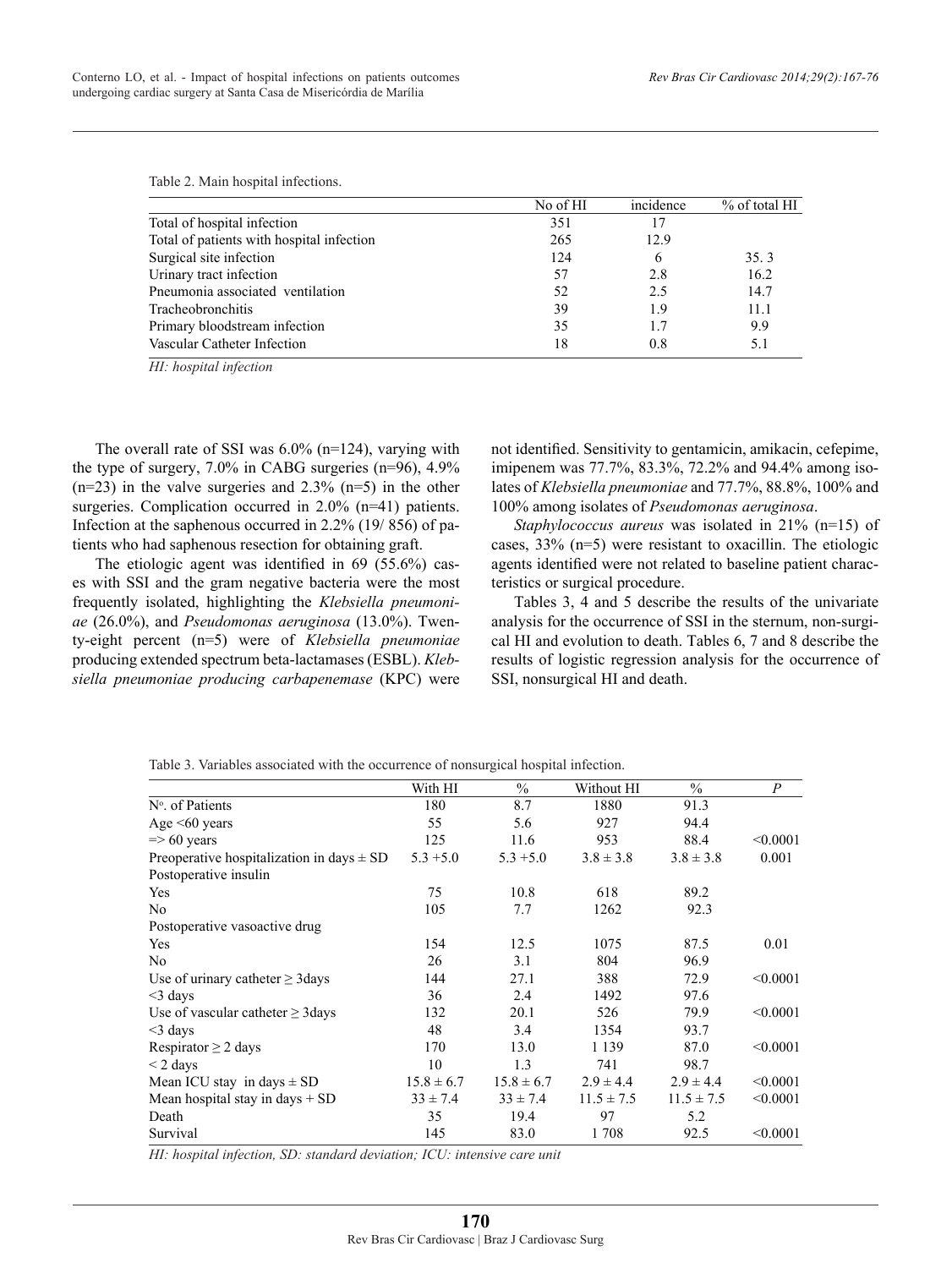Table 2. Main hospital infections.

|                                           | No of HI | incidence | $%$ of total HI |
|-------------------------------------------|----------|-----------|-----------------|
| Total of hospital infection               | 351      | -17       |                 |
| Total of patients with hospital infection | 265      | 12.9      |                 |
| Surgical site infection                   | 124      | 6         | 35.3            |
| Urinary tract infection                   | 57       | 2.8       | 16.2            |
| Pneumonia associated ventilation          | 52       | 2.5       | 14.7            |
| Tracheobronchitis                         | 39       | 1.9       | 11.1            |
| Primary bloodstream infection             | 35       | 1.7       | 9.9             |
| Vascular Catheter Infection               | 18       | 0.8       | 5.1             |

*HI: hospital infection*

The overall rate of SSI was 6.0% (n=124), varying with the type of surgery, 7.0% in CABG surgeries (n=96), 4.9%  $(n=23)$  in the valve surgeries and  $2.3\%$   $(n=5)$  in the other surgeries. Complication occurred in 2.0% (n=41) patients. Infection at the saphenous occurred in 2.2% (19/ 856) of patients who had saphenous resection for obtaining graft.

The etiologic agent was identified in 69 (55.6%) cases with SSI and the gram negative bacteria were the most frequently isolated, highlighting the *Klebsiella pneumoniae* (26.0%), and *Pseudomonas aeruginosa* (13.0%). Twenty-eight percent (n=5) were of *Klebsiella pneumoniae* producing extended spectrum beta-lactamases (ESBL). *Klebsiella pneumoniae producing carbapenemase* (KPC) were

not identified. Sensitivity to gentamicin, amikacin, cefepime, imipenem was 77.7%, 83.3%, 72.2% and 94.4% among isolates of *Klebsiella pneumoniae* and 77.7%, 88.8%, 100% and 100% among isolates of *Pseudomonas aeruginosa*.

*Staphylococcus aureus* was isolated in 21% (n=15) of cases, 33% (n=5) were resistant to oxacillin. The etiologic agents identified were not related to baseline patient characteristics or surgical procedure.

Tables 3, 4 and 5 describe the results of the univariate analysis for the occurrence of SSI in the sternum, non-surgical HI and evolution to death. Tables 6, 7 and 8 describe the results of logistic regression analysis for the occurrence of SSI, nonsurgical HI and death.

|                                               | With HI        | $\frac{0}{0}$  | Without HI     | $\frac{0}{0}$  | $\boldsymbol{P}$ |
|-----------------------------------------------|----------------|----------------|----------------|----------------|------------------|
| $No$ . of Patients                            | 180            | 8.7            | 1880           | 91.3           |                  |
| Age $\leq 60$ years                           | 55             | 5.6            | 927            | 94.4           |                  |
| $\Rightarrow$ 60 years                        | 125            | 11.6           | 953            | 88.4           | < 0.0001         |
| Preoperative hospitalization in days $\pm$ SD | $5.3 + 5.0$    | $5.3 + 5.0$    | $3.8 \pm 3.8$  | $3.8 \pm 3.8$  | 0.001            |
| Postoperative insulin                         |                |                |                |                |                  |
| <b>Yes</b>                                    | 75             | 10.8           | 618            | 89.2           |                  |
| No                                            | 105            | 7.7            | 1262           | 92.3           |                  |
| Postoperative vasoactive drug                 |                |                |                |                |                  |
| Yes                                           | 154            | 12.5           | 1075           | 87.5           | 0.01             |
| No                                            | 26             | 3.1            | 804            | 96.9           |                  |
| Use of urinary catheter $\geq$ 3 days         | 144            | 27.1           | 388            | 72.9           | < 0.0001         |
| $<$ 3 days                                    | 36             | 2.4            | 1492           | 97.6           |                  |
| Use of vascular catheter $\geq$ 3 days        | 132            | 20.1           | 526            | 79.9           | < 0.0001         |
| $<$ 3 days                                    | 48             | 3.4            | 1354           | 93.7           |                  |
| Respirator $\geq 2$ days                      | 170            | 13.0           | 1 1 3 9        | 87.0           | < 0.0001         |
| $\leq$ 2 days                                 | 10             | 1.3            | 741            | 98.7           |                  |
| Mean ICU stay in days $\pm$ SD                | $15.8 \pm 6.7$ | $15.8 \pm 6.7$ | $2.9 \pm 4.4$  | $2.9 \pm 4.4$  | < 0.0001         |
| Mean hospital stay in days $+$ SD             | $33 \pm 7.4$   | $33 \pm 7.4$   | $11.5 \pm 7.5$ | $11.5 \pm 7.5$ | < 0.0001         |
| Death                                         | 35             | 19.4           | 97             | 5.2            |                  |
| Survival                                      | 145            | 83.0           | 1708           | 92.5           | < 0.0001         |

Table 3. Variables associated with the occurrence of nonsurgical hospital infection.

*HI: hospital infection, SD: standard deviation; ICU: intensive care unit*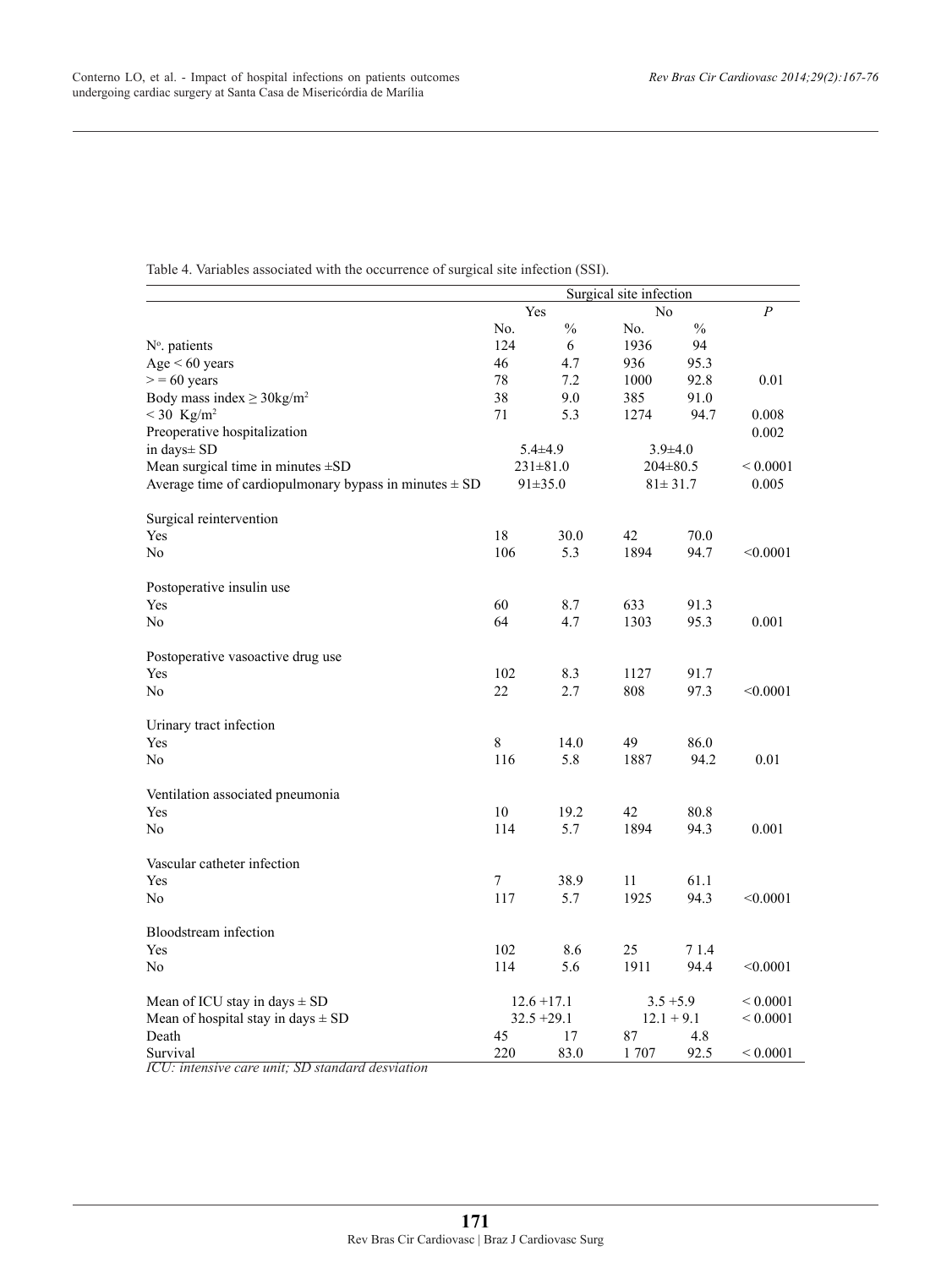|                                                            |        |                | Surgical site infection |                |                |
|------------------------------------------------------------|--------|----------------|-------------------------|----------------|----------------|
|                                                            | Yes    |                | N <sub>0</sub>          |                | $\overline{P}$ |
|                                                            | No.    | $\frac{0}{0}$  | No.                     | $\%$           |                |
| N°. patients                                               | 124    | 6              | 1936                    | 94             |                |
| Age < 60 years                                             | 46     | 4.7            | 936                     | 95.3           |                |
| $> 60$ years                                               | 78     | 7.2            | 1000                    | 92.8           | 0.01           |
| Body mass index $\geq$ 30kg/m <sup>2</sup>                 | 38     | 9.0            | 385                     | 91.0           |                |
| $< 30$ Kg/m <sup>2</sup>                                   | 71     | 5.3            | 1274                    | 94.7           | 0.008          |
| Preoperative hospitalization                               |        |                |                         |                | 0.002          |
| in days± SD                                                |        | $5.4 \pm 4.9$  |                         | $3.9\pm4.0$    |                |
| Mean surgical time in minutes $\pm SD$                     |        | $231 \pm 81.0$ |                         | $204 \pm 80.5$ | ${}_{0.0001}$  |
| Average time of cardiopulmonary bypass in minutes $\pm$ SD |        | $91 \pm 35.0$  |                         | $81 \pm 31.7$  | 0.005          |
| Surgical reintervention                                    |        |                |                         |                |                |
| Yes                                                        | 18     | 30.0           | 42                      | 70.0           |                |
| N <sub>0</sub>                                             | 106    | 5.3            | 1894                    | 94.7           | < 0.0001       |
| Postoperative insulin use                                  |        |                |                         |                |                |
| Yes                                                        | 60     | 8.7            | 633                     | 91.3           |                |
| N <sub>0</sub>                                             | 64     | 4.7            | 1303                    | 95.3           | 0.001          |
| Postoperative vasoactive drug use                          |        |                |                         |                |                |
| Yes                                                        | 102    | 8.3            | 1127                    | 91.7           |                |
| No                                                         | 22     | 2.7            | 808                     | 97.3           | < 0.0001       |
| Urinary tract infection                                    |        |                |                         |                |                |
| Yes                                                        | 8      | 14.0           | 49                      | 86.0           |                |
| No                                                         | 116    | 5.8            | 1887                    | 94.2           | 0.01           |
| Ventilation associated pneumonia                           |        |                |                         |                |                |
| Yes                                                        | $10\,$ | 19.2           | 42                      | 80.8           |                |
| N <sub>0</sub>                                             | 114    | 5.7            | 1894                    | 94.3           | 0.001          |
| Vascular catheter infection                                |        |                |                         |                |                |
| Yes                                                        | 7      | 38.9           | 11                      | 61.1           |                |
| No                                                         | 117    | 5.7            | 1925                    | 94.3           | < 0.0001       |
| Bloodstream infection                                      |        |                |                         |                |                |
| Yes                                                        | 102    | 8.6            | 25                      | 71.4           |                |
| N <sub>0</sub>                                             | 114    | 5.6            | 1911                    | 94.4           | < 0.0001       |
| Mean of ICU stay in days $\pm$ SD                          |        | $12.6 + 17.1$  | $3.5 + 5.9$             |                | ${}_{0.0001}$  |
| Mean of hospital stay in days $\pm$ SD                     |        | $32.5 + 29.1$  |                         | $12.1 + 9.1$   | ${}_{0.0001}$  |
| Death                                                      | 45     | 17             | 87                      | 4.8            |                |
| Survival                                                   | 220    | 83.0           | 1707                    | 92.5           | ${}_{0.0001}$  |

Table 4. Variables associated with the occurrence of surgical site infection (SSI).

*ICU: intensive care unit; SD standard desviation*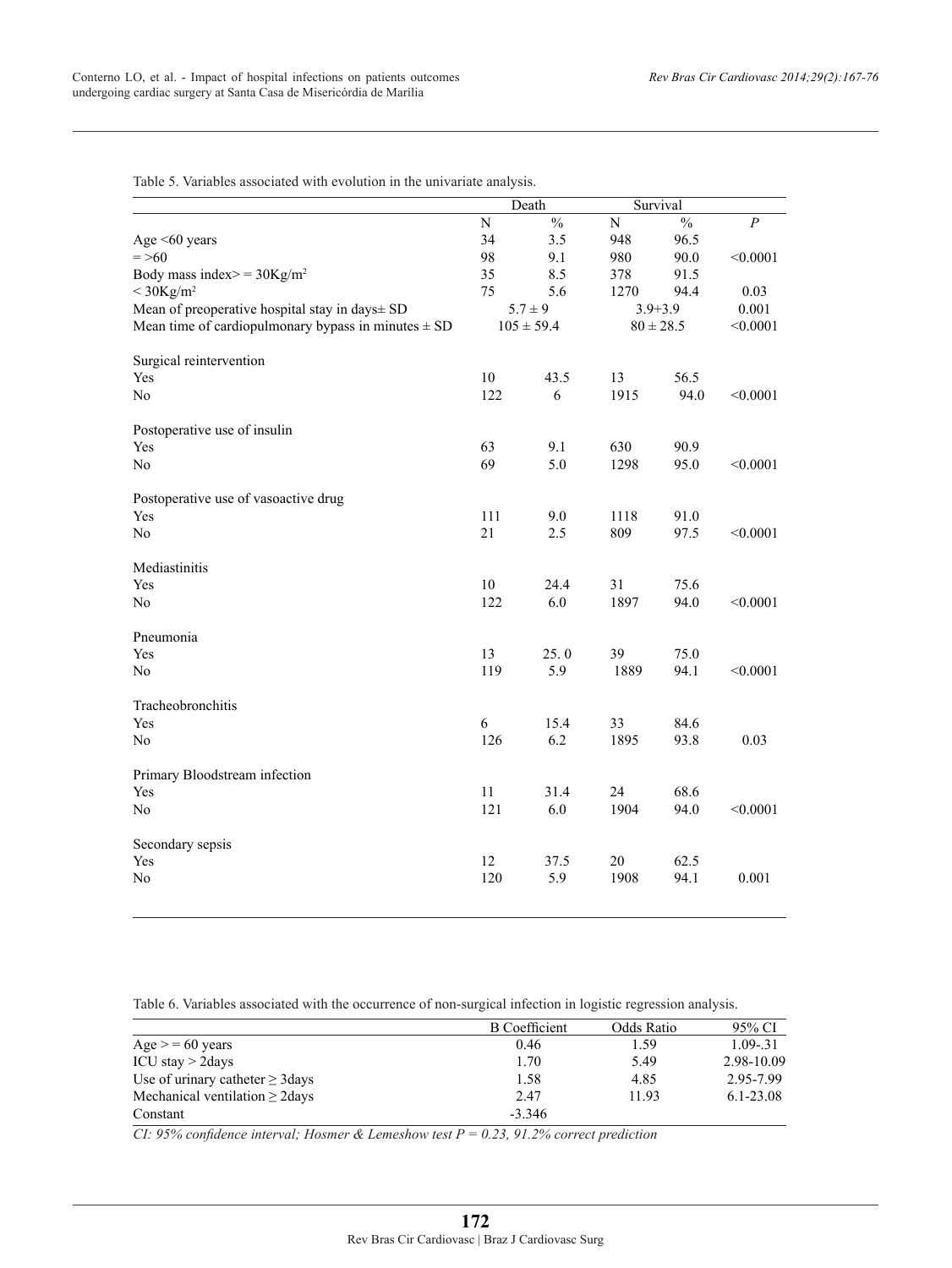Table 5. Variables associated with evolution in the univariate analysis.

|                                                         |     | Death          |             | Survival      |                  |
|---------------------------------------------------------|-----|----------------|-------------|---------------|------------------|
|                                                         | N   | $\frac{0}{0}$  | $\mathbf N$ | $\frac{0}{0}$ | $\boldsymbol{P}$ |
| Age $\leq 60$ years                                     | 34  | 3.5            | 948         | 96.5          |                  |
| $=$ >60                                                 | 98  | 9.1            | 980         | 90.0          | < 0.0001         |
| Body mass index> = $30\text{Kg/m}^2$                    | 35  | 8.5            | 378         | 91.5          |                  |
| $<$ 30Kg/m <sup>2</sup>                                 | 75  | 5.6            | 1270        | 94.4          | 0.03             |
| Mean of preoperative hospital stay in days± SD          |     | $5.7 \pm 9$    |             | $3.9 + 3.9$   | 0.001            |
| Mean time of cardiopulmonary bypass in minutes $\pm$ SD |     | $105 \pm 59.4$ |             | $80 \pm 28.5$ | < 0.0001         |
| Surgical reintervention                                 |     |                |             |               |                  |
| Yes                                                     | 10  | 43.5           | 13          | 56.5          |                  |
| No                                                      | 122 | 6              | 1915        | 94.0          | < 0.0001         |
| Postoperative use of insulin                            |     |                |             |               |                  |
| Yes                                                     | 63  | 9.1            | 630         | 90.9          |                  |
| N <sub>0</sub>                                          | 69  | 5.0            | 1298        | 95.0          | < 0.0001         |
| Postoperative use of vasoactive drug                    |     |                |             |               |                  |
| Yes                                                     | 111 | 9.0            | 1118        | 91.0          |                  |
| No                                                      | 21  | 2.5            | 809         | 97.5          | < 0.0001         |
| Mediastinitis                                           |     |                |             |               |                  |
| Yes                                                     | 10  | 24.4           | 31          | 75.6          |                  |
| N <sub>0</sub>                                          | 122 | 6.0            | 1897        | 94.0          | < 0.0001         |
| Pneumonia                                               |     |                |             |               |                  |
| Yes                                                     | 13  | 25.0           | 39          | 75.0          |                  |
| N <sub>0</sub>                                          | 119 | 5.9            | 1889        | 94.1          | < 0.0001         |
| Tracheobronchitis                                       |     |                |             |               |                  |
| Yes                                                     | 6   | 15.4           | 33          | 84.6          |                  |
| No                                                      | 126 | 6.2            | 1895        | 93.8          | 0.03             |
| Primary Bloodstream infection                           |     |                |             |               |                  |
| Yes                                                     | 11  | 31.4           | 24          | 68.6          |                  |
| No                                                      | 121 | 6.0            | 1904        | 94.0          | < 0.0001         |
| Secondary sepsis                                        |     |                |             |               |                  |
| Yes                                                     | 12  | 37.5           | $20\,$      | 62.5          |                  |
| No                                                      | 120 | 5.9            | 1908        | 94.1          | 0.001            |
|                                                         |     |                |             |               |                  |

Table 6. Variables associated with the occurrence of non-surgical infection in logistic regression analysis.

|                                       | <b>B</b> Coefficient | Odds Ratio | 95% CI      |
|---------------------------------------|----------------------|------------|-------------|
| $Age = 60 years$                      | 0.46                 | 1.59       | $1.09 - 31$ |
| ICU stay $>$ 2days                    | 1.70                 | 5.49       | 2.98-10.09  |
| Use of urinary catheter $\geq$ 3 days | 1.58                 | 4.85       | 2.95-7.99   |
| Mechanical ventilation $\geq$ 2 days  | 2.47                 | 1193       | 6.1-23.08   |
| Constant                              | $-3.346$             |            |             |

*CI: 95% confidence interval; Hosmer & Lemeshow test P = 0.23, 91.2% correct prediction*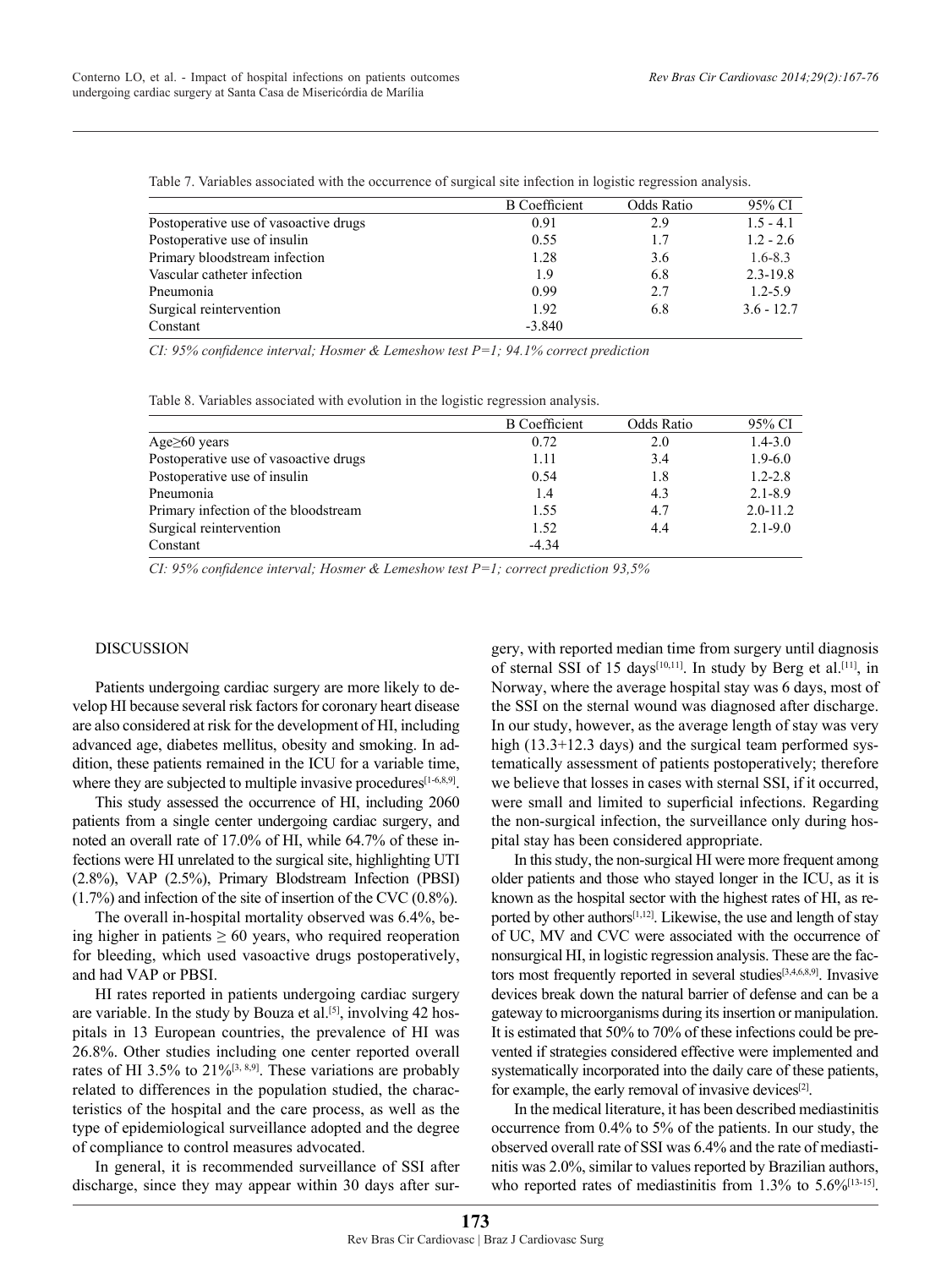|                                       | <b>B</b> Coefficient | Odds Ratio | 95% CI       |
|---------------------------------------|----------------------|------------|--------------|
| Postoperative use of vasoactive drugs | 0.91                 | 2.9        | $1.5 - 4.1$  |
| Postoperative use of insulin          | 0.55                 | 1.7        | $1.2 - 2.6$  |
| Primary bloodstream infection         | 1.28                 | 3.6        | $1.6 - 8.3$  |
| Vascular catheter infection           | 1.9                  | 6.8        | $2.3 - 19.8$ |
| Pneumonia                             | 0.99                 | 2.7        | $1.2 - 5.9$  |
| Surgical reintervention               | 1.92                 | 6.8        | $3.6 - 12.7$ |
| Constant                              | $-3.840$             |            |              |

Table 7. Variables associated with the occurrence of surgical site infection in logistic regression analysis.

*CI: 95% confidence interval; Hosmer & Lemeshow test P=1; 94.1% correct prediction*

|  | Table 8. Variables associated with evolution in the logistic regression analysis. |  |  |  |  |
|--|-----------------------------------------------------------------------------------|--|--|--|--|
|  |                                                                                   |  |  |  |  |

|                                       | <b>B</b> Coefficient | Odds Ratio | 95% CI       |
|---------------------------------------|----------------------|------------|--------------|
| Age $\geq 60$ years                   | 0.72                 | 2.0        | $1.4 - 3.0$  |
| Postoperative use of vasoactive drugs | 1.11                 | 3.4        | $1.9 - 6.0$  |
| Postoperative use of insulin          | 0.54                 | 1.8        | $1.2 - 2.8$  |
| Pneumonia                             | 1.4                  | 4.3        | $2.1 - 8.9$  |
| Primary infection of the bloodstream  | 1.55                 | 4.7        | $2.0 - 11.2$ |
| Surgical reintervention               | 1.52                 | 4.4        | $2.1 - 9.0$  |
| Constant                              | $-4.34$              |            |              |

*CI: 95% confidence interval; Hosmer & Lemeshow test P=1; correct prediction 93,5%*

# DISCUSSION

Patients undergoing cardiac surgery are more likely to develop HI because several risk factors for coronary heart disease are also considered at risk for the development of HI, including advanced age, diabetes mellitus, obesity and smoking. In addition, these patients remained in the ICU for a variable time, where they are subjected to multiple invasive procedures $[1-6,8,9]$ .

This study assessed the occurrence of HI, including 2060 patients from a single center undergoing cardiac surgery, and noted an overall rate of 17.0% of HI, while 64.7% of these infections were HI unrelated to the surgical site, highlighting UTI (2.8%), VAP (2.5%), Primary Blodstream Infection (PBSI) (1.7%) and infection of the site of insertion of the CVC (0.8%).

The overall in-hospital mortality observed was 6.4%, being higher in patients  $\geq 60$  years, who required reoperation for bleeding, which used vasoactive drugs postoperatively, and had VAP or PBSI.

HI rates reported in patients undergoing cardiac surgery are variable. In the study by Bouza et al.<sup>[5]</sup>, involving 42 hospitals in 13 European countries, the prevalence of HI was 26.8%. Other studies including one center reported overall rates of HI 3.5% to 21%<sup>[3, 8,9]</sup>. These variations are probably related to differences in the population studied, the characteristics of the hospital and the care process, as well as the type of epidemiological surveillance adopted and the degree of compliance to control measures advocated.

In general, it is recommended surveillance of SSI after discharge, since they may appear within 30 days after surgery, with reported median time from surgery until diagnosis of sternal SSI of 15 days<sup>[10,11]</sup>. In study by Berg et al.<sup>[11]</sup>, in Norway, where the average hospital stay was 6 days, most of the SSI on the sternal wound was diagnosed after discharge. In our study, however, as the average length of stay was very high (13.3+12.3 days) and the surgical team performed systematically assessment of patients postoperatively; therefore we believe that losses in cases with sternal SSI, if it occurred, were small and limited to superficial infections. Regarding the non-surgical infection, the surveillance only during hospital stay has been considered appropriate.

In this study, the non-surgical HI were more frequent among older patients and those who stayed longer in the ICU, as it is known as the hospital sector with the highest rates of HI, as reported by other authors<sup>[1,12]</sup>. Likewise, the use and length of stay of UC, MV and CVC were associated with the occurrence of nonsurgical HI, in logistic regression analysis. These are the factors most frequently reported in several studies<sup>[3,4,6,8,9]</sup>. Invasive devices break down the natural barrier of defense and can be a gateway to microorganisms during its insertion or manipulation. It is estimated that 50% to 70% of these infections could be prevented if strategies considered effective were implemented and systematically incorporated into the daily care of these patients, for example, the early removal of invasive devices<sup>[2]</sup>.

In the medical literature, it has been described mediastinitis occurrence from 0.4% to 5% of the patients. In our study, the observed overall rate of SSI was 6.4% and the rate of mediastinitis was 2.0%, similar to values reported by Brazilian authors, who reported rates of mediastinitis from 1.3% to 5.6%<sup>[13-15]</sup>.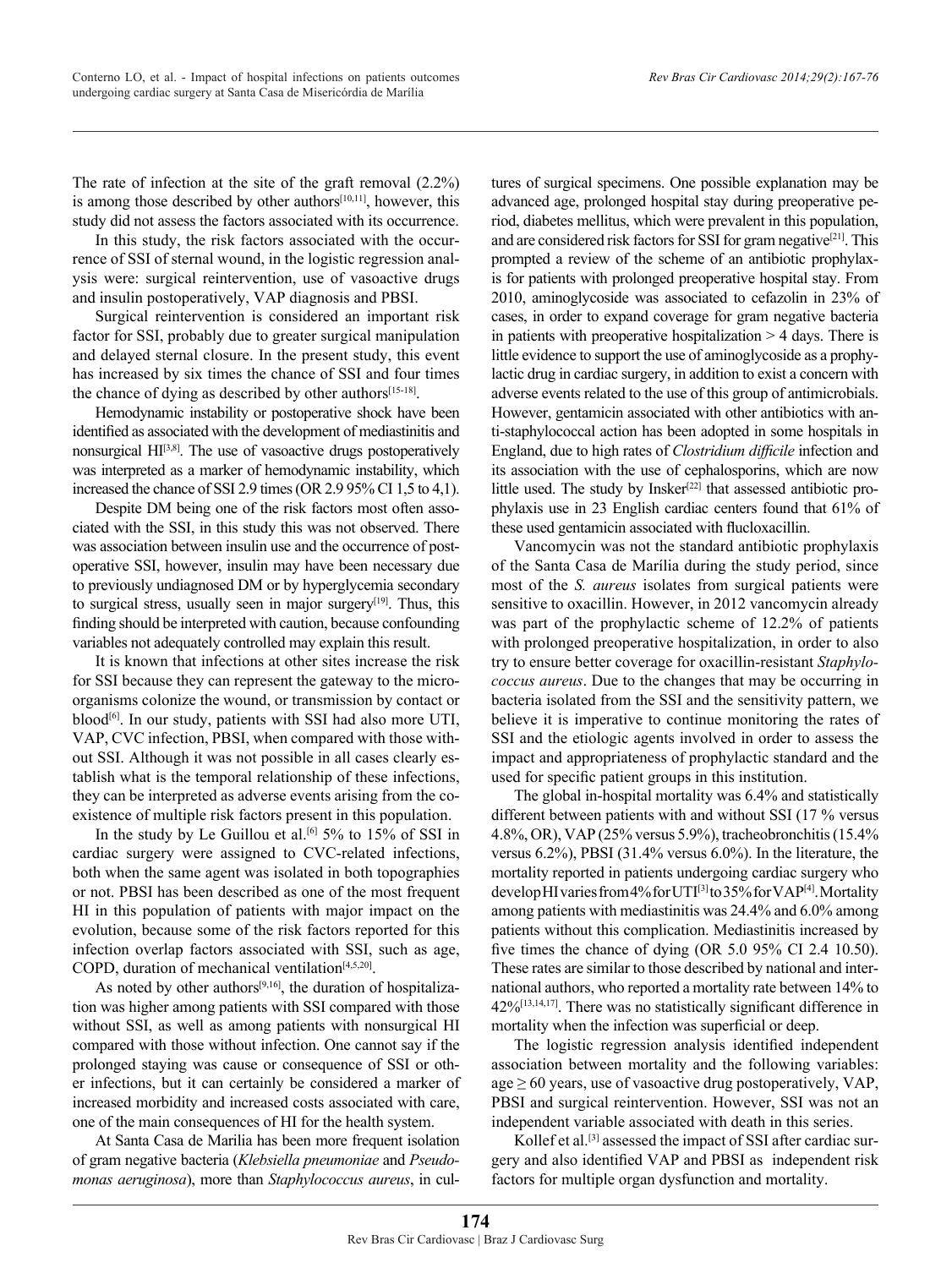The rate of infection at the site of the graft removal (2.2%) is among those described by other authors<sup>[10,11]</sup>, however, this study did not assess the factors associated with its occurrence.

In this study, the risk factors associated with the occurrence of SSI of sternal wound, in the logistic regression analysis were: surgical reintervention, use of vasoactive drugs and insulin postoperatively, VAP diagnosis and PBSI.

Surgical reintervention is considered an important risk factor for SSI, probably due to greater surgical manipulation and delayed sternal closure. In the present study, this event has increased by six times the chance of SSI and four times the chance of dying as described by other authors<sup>[15-18]</sup>.

Hemodynamic instability or postoperative shock have been identified as associated with the development of mediastinitis and nonsurgical HI[3,8]. The use of vasoactive drugs postoperatively was interpreted as a marker of hemodynamic instability, which increased the chance of SSI 2.9 times (OR 2.9 95% CI 1,5 to 4,1).

Despite DM being one of the risk factors most often associated with the SSI, in this study this was not observed. There was association between insulin use and the occurrence of postoperative SSI, however, insulin may have been necessary due to previously undiagnosed DM or by hyperglycemia secondary to surgical stress, usually seen in major surgery<sup>[19]</sup>. Thus, this finding should be interpreted with caution, because confounding variables not adequately controlled may explain this result.

It is known that infections at other sites increase the risk for SSI because they can represent the gateway to the microorganisms colonize the wound, or transmission by contact or blood<sup>[6]</sup>. In our study, patients with SSI had also more UTI, VAP, CVC infection, PBSI, when compared with those without SSI. Although it was not possible in all cases clearly establish what is the temporal relationship of these infections, they can be interpreted as adverse events arising from the coexistence of multiple risk factors present in this population.

In the study by Le Guillou et al.<sup>[6]</sup> 5% to 15% of SSI in cardiac surgery were assigned to CVC-related infections, both when the same agent was isolated in both topographies or not. PBSI has been described as one of the most frequent HI in this population of patients with major impact on the evolution, because some of the risk factors reported for this infection overlap factors associated with SSI, such as age, COPD, duration of mechanical ventilation[4,5,20].

As noted by other authors $[9,16]$ , the duration of hospitalization was higher among patients with SSI compared with those without SSI, as well as among patients with nonsurgical HI compared with those without infection. One cannot say if the prolonged staying was cause or consequence of SSI or other infections, but it can certainly be considered a marker of increased morbidity and increased costs associated with care, one of the main consequences of HI for the health system.

At Santa Casa de Marilia has been more frequent isolation of gram negative bacteria (*Klebsiella pneumoniae* and *Pseudomonas aeruginosa*), more than *Staphylococcus aureus*, in cultures of surgical specimens. One possible explanation may be advanced age, prolonged hospital stay during preoperative period, diabetes mellitus, which were prevalent in this population, and are considered risk factors for SSI for gram negative<sup>[21]</sup>. This prompted a review of the scheme of an antibiotic prophylaxis for patients with prolonged preoperative hospital stay. From 2010, aminoglycoside was associated to cefazolin in 23% of cases, in order to expand coverage for gram negative bacteria in patients with preoperative hospitalization > 4 days. There is little evidence to support the use of aminoglycoside as a prophylactic drug in cardiac surgery, in addition to exist a concern with adverse events related to the use of this group of antimicrobials. However, gentamicin associated with other antibiotics with anti-staphylococcal action has been adopted in some hospitals in England, due to high rates of *Clostridium difficile* infection and its association with the use of cephalosporins, which are now little used. The study by Insker<sup>[22]</sup> that assessed antibiotic prophylaxis use in 23 English cardiac centers found that 61% of these used gentamicin associated with flucloxacillin.

Vancomycin was not the standard antibiotic prophylaxis of the Santa Casa de Marília during the study period, since most of the *S. aureus* isolates from surgical patients were sensitive to oxacillin. However, in 2012 vancomycin already was part of the prophylactic scheme of 12.2% of patients with prolonged preoperative hospitalization, in order to also try to ensure better coverage for oxacillin-resistant *Staphylococcus aureus*. Due to the changes that may be occurring in bacteria isolated from the SSI and the sensitivity pattern, we believe it is imperative to continue monitoring the rates of SSI and the etiologic agents involved in order to assess the impact and appropriateness of prophylactic standard and the used for specific patient groups in this institution.

The global in-hospital mortality was 6.4% and statistically different between patients with and without SSI (17 % versus 4.8%, OR), VAP (25% versus 5.9%), tracheobronchitis (15.4% versus 6.2%), PBSI (31.4% versus 6.0%). In the literature, the mortality reported in patients undergoing cardiac surgery who develop HI varies from 4% for UTI<sup>[3]</sup> to 35% for VAP<sup>[4]</sup>. Mortality among patients with mediastinitis was 24.4% and 6.0% among patients without this complication. Mediastinitis increased by five times the chance of dying (OR 5.0 95% CI 2.4 10.50). These rates are similar to those described by national and international authors, who reported a mortality rate between 14% to 42%[13,14,17]. There was no statistically significant difference in mortality when the infection was superficial or deep.

The logistic regression analysis identified independent association between mortality and the following variables:  $age \ge 60$  years, use of vasoactive drug postoperatively, VAP, PBSI and surgical reintervention. However, SSI was not an independent variable associated with death in this series.

Kollef et al.<sup>[3]</sup> assessed the impact of SSI after cardiac surgery and also identified VAP and PBSI as independent risk factors for multiple organ dysfunction and mortality.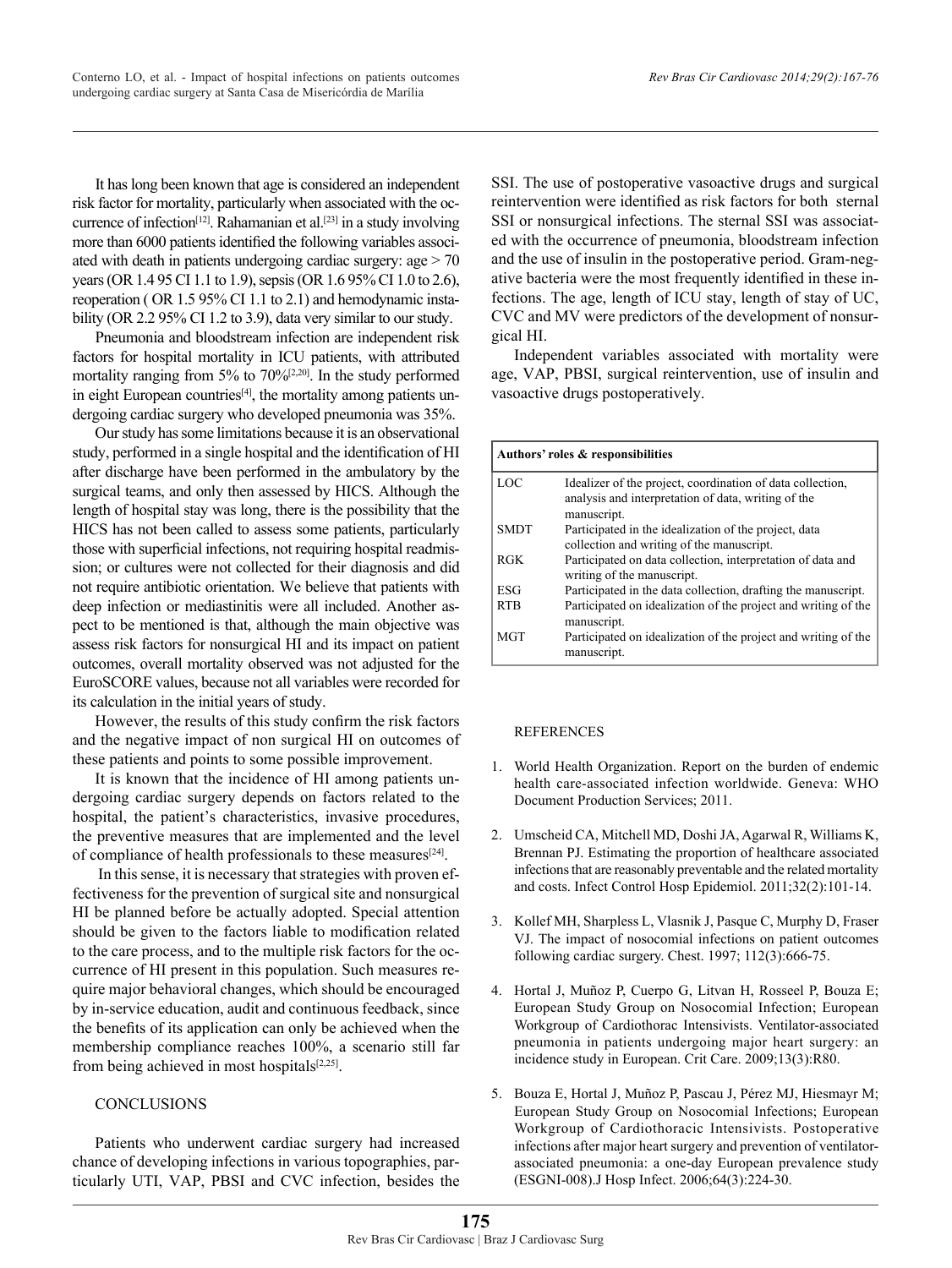It has long been known that age is considered an independent risk factor for mortality, particularly when associated with the occurrence of infection<sup>[12]</sup>. Rahamanian et al.<sup>[23]</sup> in a study involving more than 6000 patients identified the following variables associated with death in patients undergoing cardiac surgery: age > 70 years (OR 1.4 95 CI 1.1 to 1.9), sepsis (OR 1.6 95% CI 1.0 to 2.6), reoperation ( OR 1.5 95% CI 1.1 to 2.1) and hemodynamic instability (OR 2.2 95% CI 1.2 to 3.9), data very similar to our study.

Pneumonia and bloodstream infection are independent risk factors for hospital mortality in ICU patients, with attributed mortality ranging from  $5\%$  to  $70\%$ <sup>[2,20]</sup>. In the study performed in eight European countries<sup>[4]</sup>, the mortality among patients undergoing cardiac surgery who developed pneumonia was 35%.

Our study has some limitations because it is an observational study, performed in a single hospital and the identification of HI after discharge have been performed in the ambulatory by the surgical teams, and only then assessed by HICS. Although the length of hospital stay was long, there is the possibility that the HICS has not been called to assess some patients, particularly those with superficial infections, not requiring hospital readmission; or cultures were not collected for their diagnosis and did not require antibiotic orientation. We believe that patients with deep infection or mediastinitis were all included. Another aspect to be mentioned is that, although the main objective was assess risk factors for nonsurgical HI and its impact on patient outcomes, overall mortality observed was not adjusted for the EuroSCORE values, because not all variables were recorded for its calculation in the initial years of study.

However, the results of this study confirm the risk factors and the negative impact of non surgical HI on outcomes of these patients and points to some possible improvement.

It is known that the incidence of HI among patients undergoing cardiac surgery depends on factors related to the hospital, the patient's characteristics, invasive procedures, the preventive measures that are implemented and the level of compliance of health professionals to these measures<sup>[24]</sup>.

 In this sense, it is necessary that strategies with proven effectiveness for the prevention of surgical site and nonsurgical HI be planned before be actually adopted. Special attention should be given to the factors liable to modification related to the care process, and to the multiple risk factors for the occurrence of HI present in this population. Such measures require major behavioral changes, which should be encouraged by in-service education, audit and continuous feedback, since the benefits of its application can only be achieved when the membership compliance reaches 100%, a scenario still far from being achieved in most hospitals<sup>[2,25]</sup>.

# **CONCLUSIONS**

Patients who underwent cardiac surgery had increased chance of developing infections in various topographies, particularly UTI, VAP, PBSI and CVC infection, besides the SSI. The use of postoperative vasoactive drugs and surgical reintervention were identified as risk factors for both sternal SSI or nonsurgical infections. The sternal SSI was associated with the occurrence of pneumonia, bloodstream infection and the use of insulin in the postoperative period. Gram-negative bacteria were the most frequently identified in these infections. The age, length of ICU stay, length of stay of UC, CVC and MV were predictors of the development of nonsurgical HI.

Independent variables associated with mortality were age, VAP, PBSI, surgical reintervention, use of insulin and vasoactive drugs postoperatively.

|             | Authors' roles & responsibilities                                                                                                |
|-------------|----------------------------------------------------------------------------------------------------------------------------------|
| LOC         | Idealizer of the project, coordination of data collection,<br>analysis and interpretation of data, writing of the<br>manuscript. |
| <b>SMDT</b> | Participated in the idealization of the project, data<br>collection and writing of the manuscript.                               |
| RGK         | Participated on data collection, interpretation of data and<br>writing of the manuscript.                                        |
| ESG         | Participated in the data collection, drafting the manuscript.                                                                    |
| <b>RTB</b>  | Participated on idealization of the project and writing of the<br>manuscript.                                                    |
| <b>MGT</b>  | Participated on idealization of the project and writing of the<br>manuscript.                                                    |

#### **REFERENCES**

- 1. World Health Organization. Report on the burden of endemic health care-associated infection worldwide. Geneva: WHO Document Production Services; 2011.
- 2. Umscheid CA, Mitchell MD, Doshi JA, Agarwal R, Williams K, Brennan PJ. Estimating the proportion of healthcare associated infections that are reasonably preventable and the related mortality and costs. Infect Control Hosp Epidemiol. 2011;32(2):101-14.
- 3. Kollef MH, Sharpless L, Vlasnik J, Pasque C, Murphy D, Fraser VJ. The impact of nosocomial infections on patient outcomes following cardiac surgery. Chest. 1997; 112(3):666-75.
- 4. Hortal J, Muñoz P, Cuerpo G, Litvan H, Rosseel P, Bouza E; European Study Group on Nosocomial Infection; European Workgroup of Cardiothorac Intensivists. Ventilator-associated pneumonia in patients undergoing major heart surgery: an incidence study in European. Crit Care. 2009;13(3):R80.
- 5. Bouza E, Hortal J, Muñoz P, Pascau J, Pérez MJ, Hiesmayr M; European Study Group on Nosocomial Infections; European Workgroup of Cardiothoracic Intensivists. Postoperative infections after major heart surgery and prevention of ventilatorassociated pneumonia: a one-day European prevalence study (ESGNI-008).J Hosp Infect. 2006;64(3):224-30.